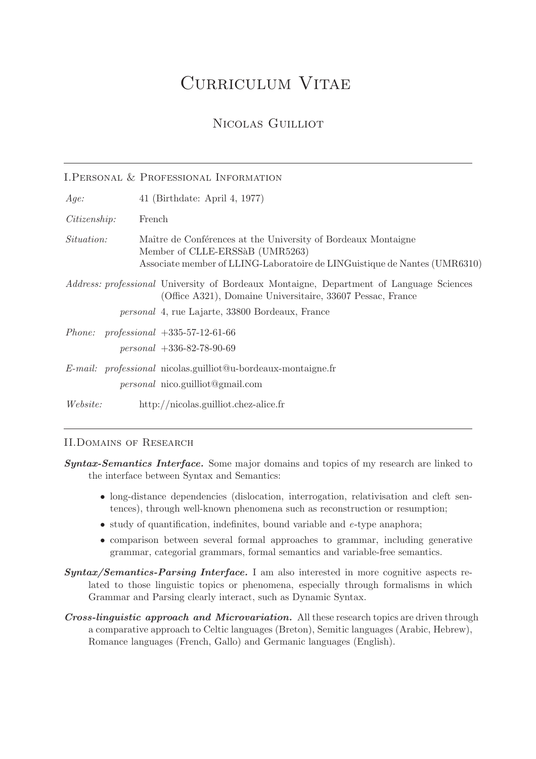# Curriculum Vitae

# Nicolas Guilliot

|                   | I. PERSONAL & PROFESSIONAL INFORMATION                                                                                                                                                                                 |
|-------------------|------------------------------------------------------------------------------------------------------------------------------------------------------------------------------------------------------------------------|
| Age:              | 41 (Birthdate: April 4, 1977)                                                                                                                                                                                          |
| Citizenship:      | French                                                                                                                                                                                                                 |
| <i>Situation:</i> | Maître de Conférences at the University of Bordeaux Montaigne<br>Member of CLLE-ERSSAB (UMR5263)<br>Associate member of LLING-Laboratoire de LINGuistique de Nantes (UMR6310)                                          |
|                   | <i>Address: professional</i> University of Bordeaux Montaigne, Department of Language Sciences<br>(Office A321), Domaine Universitaire, 33607 Pessac, France<br><i>personal</i> 4, rue Lajarte, 33800 Bordeaux, France |
|                   | <i>Phone: professional</i> $+335-57-12-61-66$<br>$personal + 336-82-78-90-69$                                                                                                                                          |
|                   | $E$ -mail: professional nicolas.guilliot@u-bordeaux-montaigne.fr<br><i>personal</i> nico.guilliot@gmail.com                                                                                                            |
| <i>Website:</i>   | http://nicolas.guilliot.chez-alice.fr                                                                                                                                                                                  |

#### II.Domains of Research

- long-distance dependencies (dislocation, interrogation, relativisation and cleft sentences), through well-known phenomena such as reconstruction or resumption;
- study of quantification, indefinites, bound variable and *e*-type anaphora;
- comparison between several formal approaches to grammar, including generative grammar, categorial grammars, formal semantics and variable-free semantics.
- Syntax/Semantics-Parsing Interface. I am also interested in more cognitive aspects related to those linguistic topics or phenomena, especially through formalisms in which Grammar and Parsing clearly interact, such as Dynamic Syntax.
- Cross-linguistic approach and Microvariation. All these research topics are driven through a comparative approach to Celtic languages (Breton), Semitic languages (Arabic, Hebrew), Romance languages (French, Gallo) and Germanic languages (English).

Syntax-Semantics Interface. Some major domains and topics of my research are linked to the interface between Syntax and Semantics: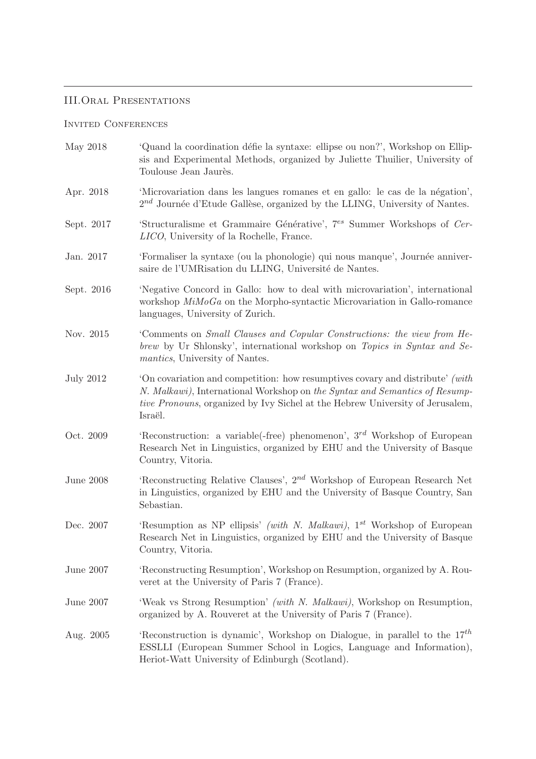# III.Oral Presentations

#### Invited Conferences

| May 2018         | 'Quand la coordination défie la syntaxe: ellipse ou non?', Workshop on Ellip-<br>sis and Experimental Methods, organized by Juliette Thuilier, University of<br>Toulouse Jean Jaurès.                                                                           |
|------------------|-----------------------------------------------------------------------------------------------------------------------------------------------------------------------------------------------------------------------------------------------------------------|
| Apr. 2018        | 'Microvariation dans les langues romanes et en gallo: le cas de la négation',<br>$2^{nd}$ Journée d'Etude Gallèse, organized by the LLING, University of Nantes.                                                                                                |
| Sept. 2017       | 'Structuralisme et Grammaire Générative', 7 <sup>es</sup> Summer Workshops of Cer-<br>LICO, University of la Rochelle, France.                                                                                                                                  |
| Jan. 2017        | 'Formaliser la syntaxe (ou la phonologie) qui nous manque', Journée anniver-<br>saire de l'UMRisation du LLING, Université de Nantes.                                                                                                                           |
| Sept. 2016       | 'Negative Concord in Gallo: how to deal with microvariation', international<br>workshop $MiMoGa$ on the Morpho-syntactic Microvariation in Gallo-romance<br>languages, University of Zurich.                                                                    |
| Nov. 2015        | Comments on Small Clauses and Copular Constructions: the view from He-<br>brew by Ur Shlonsky', international workshop on Topics in Syntax and Se-<br><i>mantics</i> , University of Nantes.                                                                    |
| <b>July 2012</b> | 'On covariation and competition: how resumptives covary and distribute' (with<br>N. Malkawi), International Workshop on the Syntax and Semantics of Resump-<br><i>tive Pronouns</i> , organized by Ivy Sichel at the Hebrew University of Jerusalem,<br>Israël. |
| Oct. 2009        | 'Reconstruction: a variable(-free) phenomenon', $3^{rd}$ Workshop of European<br>Research Net in Linguistics, organized by EHU and the University of Basque<br>Country, Vitoria.                                                                                |
| June $2008$      | 'Reconstructing Relative Clauses', $2^{nd}$ Workshop of European Research Net<br>in Linguistics, organized by EHU and the University of Basque Country, San<br>Sebastian.                                                                                       |
| Dec. 2007        | 'Resumption as NP ellipsis' (with N. Malkawi), 1st Workshop of European<br>Research Net in Linguistics, organized by EHU and the University of Basque<br>Country, Vitoria.                                                                                      |
| June 2007        | 'Reconstructing Resumption', Workshop on Resumption, organized by A. Rou-<br>veret at the University of Paris 7 (France).                                                                                                                                       |
| June 2007        | 'Weak vs Strong Resumption' (with N. Malkawi), Workshop on Resumption,<br>organized by A. Rouveret at the University of Paris 7 (France).                                                                                                                       |
| Aug. 2005        | 'Reconstruction is dynamic', Workshop on Dialogue, in parallel to the $17th$<br>ESSLLI (European Summer School in Logics, Language and Information),<br>Heriot-Watt University of Edinburgh (Scotland).                                                         |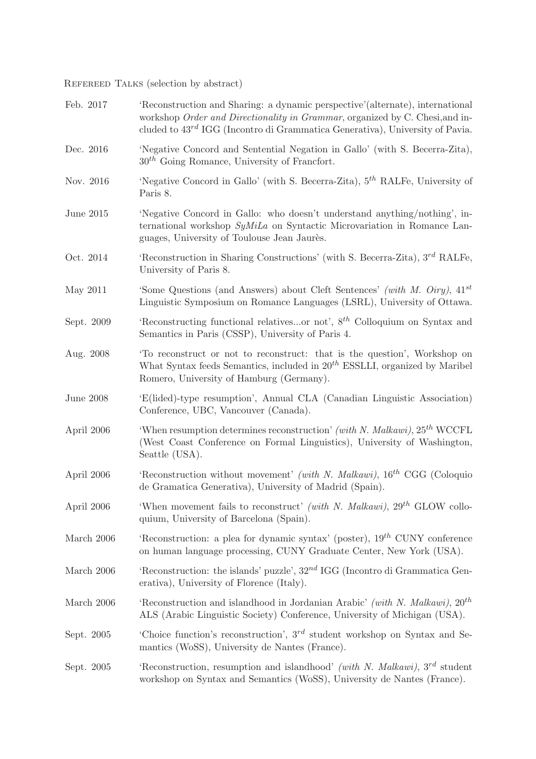REFEREED TALKS (selection by abstract)

| Feb. 2017   | 'Reconstruction and Sharing: a dynamic perspective'(alternate), international<br>workshop Order and Directionality in Grammar, organized by C. Chesi, and in-<br>cluded to $43^{rd}$ IGG (Incontro di Grammatica Generativa), University of Pavia. |
|-------------|----------------------------------------------------------------------------------------------------------------------------------------------------------------------------------------------------------------------------------------------------|
| Dec. 2016   | 'Negative Concord and Sentential Negation in Gallo' (with S. Becerra-Zita),<br>$30th$ Going Romance, University of Francfort.                                                                                                                      |
| Nov. 2016   | 'Negative Concord in Gallo' (with S. Becerra-Zita), $5th$ RALFe, University of<br>Paris 8.                                                                                                                                                         |
| June 2015   | 'Negative Concord in Gallo: who doesn't understand anything/nothing', in-<br>ternational workshop $SyMiLa$ on Syntactic Microvariation in Romance Lan-<br>guages, University of Toulouse Jean Jaurès.                                              |
| Oct. 2014   | 'Reconstruction in Sharing Constructions' (with S. Becerra-Zita), $3^{rd}$ RALFe,<br>University of Paris 8.                                                                                                                                        |
| May 2011    | 'Some Questions (and Answers) about Cleft Sentences' (with M. Oiry), $41^{st}$<br>Linguistic Symposium on Romance Languages (LSRL), University of Ottawa.                                                                                          |
| Sept. 2009  | 'Reconstructing functional relativesor not', $8^{th}$ Colloquium on Syntax and<br>Semantics in Paris (CSSP), University of Paris 4.                                                                                                                |
| Aug. 2008   | To reconstruct or not to reconstruct: that is the question', Workshop on<br>What Syntax feeds Semantics, included in $20^{th}$ ESSLLI, organized by Maribel<br>Romero, University of Hamburg (Germany).                                            |
| June $2008$ | 'E(lided)-type resumption', Annual CLA (Canadian Linguistic Association)<br>Conference, UBC, Vancouver (Canada).                                                                                                                                   |
| April 2006  | 'When resumption determines reconstruction' (with N. Malkawi), $25^{th}$ WCCFL<br>(West Coast Conference on Formal Linguistics), University of Washington,<br>Seattle (USA).                                                                       |
| April 2006  | 'Reconstruction without movement' (with N. Malkawi), $16^{th}$ CGG (Coloquio<br>de Gramatica Generativa), University of Madrid (Spain).                                                                                                            |
| April 2006  | 'When movement fails to reconstruct' (with N. Malkawi), $29^{th}$ GLOW collo-<br>quium, University of Barcelona (Spain).                                                                                                                           |
| March 2006  | 'Reconstruction: a plea for dynamic syntax' (poster), $19^{th}$ CUNY conference<br>on human language processing, CUNY Graduate Center, New York (USA).                                                                                             |
| March 2006  | 'Reconstruction: the islands' puzzle', $32^{nd}$ IGG (Incontro di Grammatica Gen-<br>erativa), University of Florence (Italy).                                                                                                                     |
| March 2006  | 'Reconstruction and islandhood in Jordanian Arabic' (with N. Malkawi), $20^{th}$<br>ALS (Arabic Linguistic Society) Conference, University of Michigan (USA).                                                                                      |
| Sept. 2005  | Choice function's reconstruction', $3^{rd}$ student workshop on Syntax and Se-<br>mantics (WoSS), University de Nantes (France).                                                                                                                   |
| Sept. 2005  | 'Reconstruction, resumption and islandhood' (with N. Malkawi), $3^{rd}$ student<br>workshop on Syntax and Semantics (WoSS), University de Nantes (France).                                                                                         |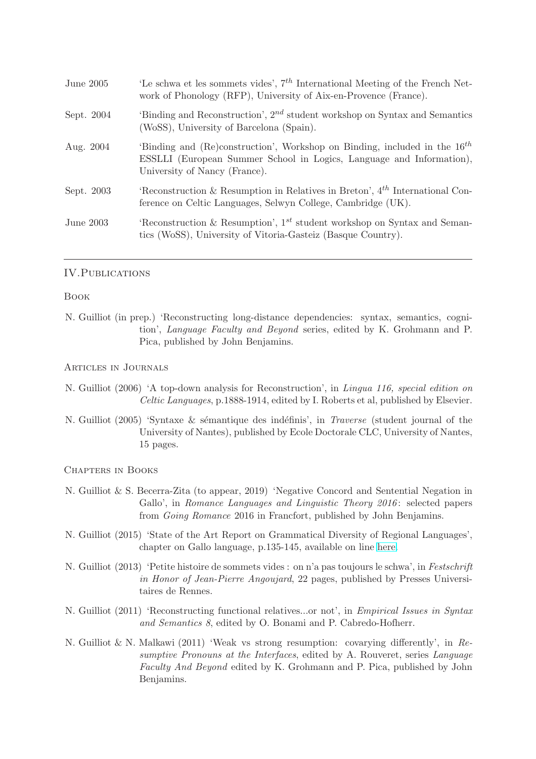| June 2005  | 'Le schwa et les sommets vides', $7th$ International Meeting of the French Net-<br>work of Phonology (RFP), University of Aix-en-Provence (France).                                     |
|------------|-----------------------------------------------------------------------------------------------------------------------------------------------------------------------------------------|
| Sept. 2004 | 'Binding and Reconstruction', $2^{nd}$ student workshop on Syntax and Semantics<br>(WoSS), University of Barcelona (Spain).                                                             |
| Aug. 2004  | 'Binding and (Re)construction', Workshop on Binding, included in the $16^{th}$<br>ESSLLI (European Summer School in Logics, Language and Information),<br>University of Nancy (France). |
| Sept. 2003 | Reconstruction & Resumption in Relatives in Breton', $4^{th}$ International Con-<br>ference on Celtic Languages, Selwyn College, Cambridge (UK).                                        |
| June 2003  | Reconstruction & Resumption', $1^{st}$ student workshop on Syntax and Seman-<br>tics (WoSS), University of Vitoria-Gasteiz (Basque Country).                                            |

#### IV. PUBLICATIONS

#### Book

N. Guilliot (in prep.) 'Reconstructing long-distance dependencies: syntax, semantics, cognition', *Language Faculty and Beyond* series, edited by K. Grohmann and P. Pica, published by John Benjamins.

#### Articles in Journals

- N. Guilliot (2006) 'A top-down analysis for Reconstruction', in *Lingua 116, special edition on Celtic Languages*, p.1888-1914, edited by I. Roberts et al, published by Elsevier.
- N. Guilliot (2005) 'Syntaxe & sémantique des indéfinis', in *Traverse* (student journal of the University of Nantes), published by Ecole Doctorale CLC, University of Nantes, 15 pages.

Chapters in Books

- N. Guilliot & S. Becerra-Zita (to appear, 2019) 'Negative Concord and Sentential Negation in Gallo', in *Romance Languages and Linguistic Theory 2016* : selected papers from *Going Romance* 2016 in Francfort, published by John Benjamins.
- N. Guilliot (2015) 'State of the Art Report on Grammatical Diversity of Regional Languages', chapter on Gallo language, p.135-145, available on line [here.](http://www.atheme.eu/publications/state-of-the-art-report-on-grammatical-diversity-of-regional-languages-may-2015/)
- N. Guilliot (2013) 'Petite histoire de sommets vides : on n'a pas toujours le schwa', in *Festschrift in Honor of Jean-Pierre Angoujard*, 22 pages, published by Presses Universitaires de Rennes.
- N. Guilliot (2011) 'Reconstructing functional relatives...or not', in *Empirical Issues in Syntax and Semantics 8*, edited by O. Bonami and P. Cabredo-Hofherr.
- N. Guilliot & N. Malkawi (2011) 'Weak vs strong resumption: covarying differently', in *Resumptive Pronouns at the Interfaces*, edited by A. Rouveret, series *Language Faculty And Beyond* edited by K. Grohmann and P. Pica, published by John Benjamins.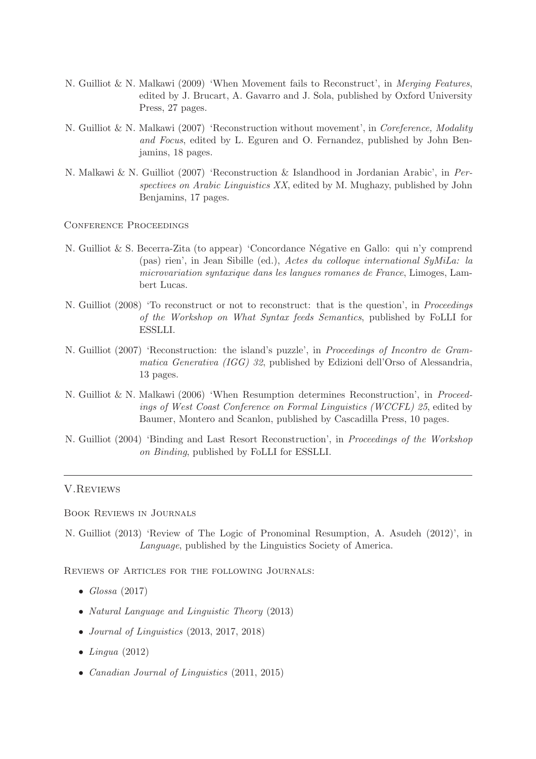- N. Guilliot & N. Malkawi (2009) 'When Movement fails to Reconstruct', in *Merging Features*, edited by J. Brucart, A. Gavarro and J. Sola, published by Oxford University Press, 27 pages.
- N. Guilliot & N. Malkawi (2007) 'Reconstruction without movement', in *Coreference, Modality and Focus*, edited by L. Eguren and O. Fernandez, published by John Benjamins, 18 pages.
- N. Malkawi & N. Guilliot (2007) 'Reconstruction & Islandhood in Jordanian Arabic', in *Perspectives on Arabic Linguistics XX*, edited by M. Mughazy, published by John Benjamins, 17 pages.

Conference Proceedings

- N. Guilliot & S. Becerra-Zita (to appear) 'Concordance Négative en Gallo: qui n'y comprend (pas) rien', in Jean Sibille (ed.), *Actes du colloque international SyMiLa: la microvariation syntaxique dans les langues romanes de France*, Limoges, Lambert Lucas.
- N. Guilliot (2008) 'To reconstruct or not to reconstruct: that is the question', in *Proceedings of the Workshop on What Syntax feeds Semantics*, published by FoLLI for ESSLLI.
- N. Guilliot (2007) 'Reconstruction: the island's puzzle', in *Proceedings of Incontro de Grammatica Generativa (IGG) 32*, published by Edizioni dell'Orso of Alessandria, 13 pages.
- N. Guilliot & N. Malkawi (2006) 'When Resumption determines Reconstruction', in *Proceedings of West Coast Conference on Formal Linguistics (WCCFL) 25*, edited by Baumer, Montero and Scanlon, published by Cascadilla Press, 10 pages.
- N. Guilliot (2004) 'Binding and Last Resort Reconstruction', in *Proceedings of the Workshop on Binding*, published by FoLLI for ESSLLI.

#### V.Reviews

Book Reviews in Journals

N. Guilliot (2013) 'Review of The Logic of Pronominal Resumption, A. Asudeh (2012)', in *Language*, published by the Linguistics Society of America.

Reviews of Articles for the following Journals:

- *Glossa* (2017)
- *Natural Language and Linguistic Theory* (2013)
- *Journal of Linguistics* (2013, 2017, 2018)
- *Lingua* (2012)
- *Canadian Journal of Linguistics* (2011, 2015)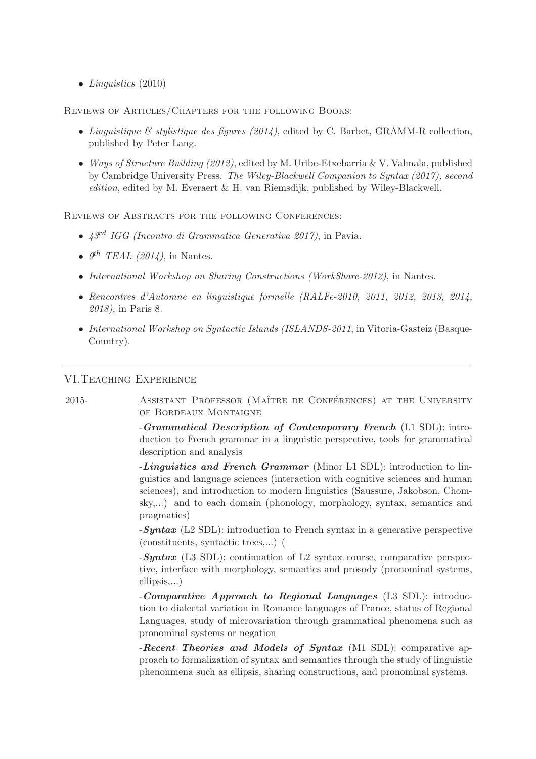• *Linguistics* (2010)

Reviews of Articles/Chapters for the following Books:

- *Linguistique & stylistique des figures (2014)*, edited by C. Barbet, GRAMM-R collection, published by Peter Lang.
- *Ways of Structure Building (2012)*, edited by M. Uribe-Etxebarria & V. Valmala, published by Cambridge University Press. *The Wiley-Blackwell Companion to Syntax (2017), second edition*, edited by M. Everaert & H. van Riemsdijk, published by Wiley-Blackwell.

REVIEWS OF ABSTRACTS FOR THE FOLLOWING CONFERENCES:

- *43rd IGG (Incontro di Grammatica Generativa 2017)*, in Pavia.
- $\mathcal{G}^{th}$  *TEAL (2014)*, in Nantes.
- *International Workshop on Sharing Constructions (WorkShare-2012)*, in Nantes.
- *Rencontres d'Automne en linguistique formelle (RALFe-2010, 2011, 2012, 2013, 2014, 2018)*, in Paris 8.
- *International Workshop on Syntactic Islands (ISLANDS-2011*, in Vitoria-Gasteiz (Basque-Country).

#### VI.Teaching Experience

2015- ASSISTANT PROFESSOR (MAÎTRE DE CONFÉRENCES) AT THE UNIVERSITY of Bordeaux Montaigne

> -Grammatical Description of Contemporary French (L1 SDL): introduction to French grammar in a linguistic perspective, tools for grammatical description and analysis

> -Linguistics and French Grammar (Minor L1 SDL): introduction to linguistics and language sciences (interaction with cognitive sciences and human sciences), and introduction to modern linguistics (Saussure, Jakobson, Chomsky,...) and to each domain (phonology, morphology, syntax, semantics and pragmatics)

> $-Syntax$  (L2 SDL): introduction to French syntax in a generative perspective (constituents, syntactic trees,...) (

> $-Syntax$  (L3 SDL): continuation of L2 syntax course, comparative perspective, interface with morphology, semantics and prosody (pronominal systems, ellipsis,...)

> -Comparative Approach to Regional Languages (L3 SDL): introduction to dialectal variation in Romance languages of France, status of Regional Languages, study of microvariation through grammatical phenomena such as pronominal systems or negation

> -Recent Theories and Models of Syntax (M1 SDL): comparative approach to formalization of syntax and semantics through the study of linguistic phenonmena such as ellipsis, sharing constructions, and pronominal systems.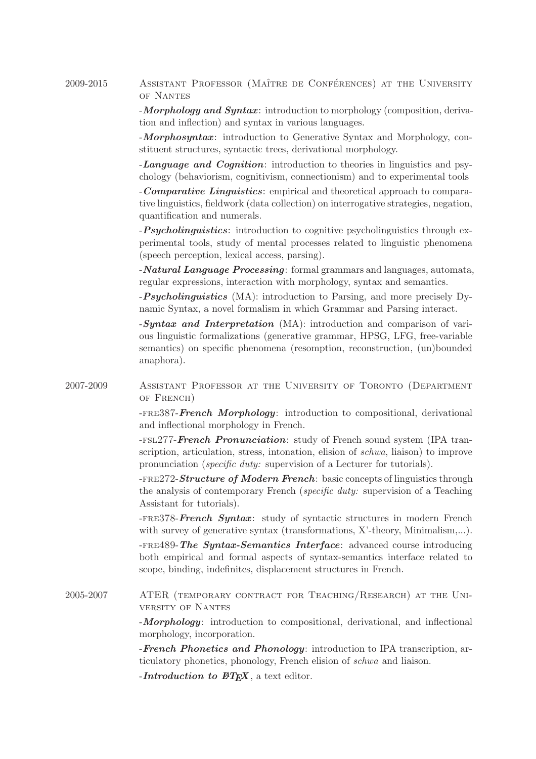## 2009-2015 ASSISTANT PROFESSOR (MAÎTRE DE CONFÉRENCES) AT THE UNIVERSITY of Nantes

-**Morphology and Syntax**: introduction to morphology (composition, derivation and inflection) and syntax in various languages.

-**Morphosyntax:** introduction to Generative Syntax and Morphology, constituent structures, syntactic trees, derivational morphology.

-Language and Cognition: introduction to theories in linguistics and psychology (behaviorism, cognitivism, connectionism) and to experimental tools

-Comparative Linguistics: empirical and theoretical approach to comparative linguistics, fieldwork (data collection) on interrogative strategies, negation, quantification and numerals.

-**Psycholinguistics**: introduction to cognitive psycholinguistics through experimental tools, study of mental processes related to linguistic phenomena (speech perception, lexical access, parsing).

-Natural Language Processing: formal grammars and languages, automata, regular expressions, interaction with morphology, syntax and semantics.

-**Psycholinguistics** (MA): introduction to Parsing, and more precisely Dynamic Syntax, a novel formalism in which Grammar and Parsing interact.

-Syntax and Interpretation (MA): introduction and comparison of various linguistic formalizations (generative grammar, HPSG, LFG, free-variable semantics) on specific phenomena (resomption, reconstruction, (un)bounded anaphora).

2007-2009 Assistant Professor at the University of Toronto (Department of French)

> -fre387-French Morphology: introduction to compositional, derivational and inflectional morphology in French.

> -FSL277-**French Pronunciation**: study of French sound system (IPA transcription, articulation, stress, intonation, elision of *schwa*, liaison) to improve pronunciation (*specific duty:* supervision of a Lecturer for tutorials).

> -FRE272-Structure of Modern French: basic concepts of linguistics through the analysis of contemporary French (*specific duty:* supervision of a Teaching Assistant for tutorials).

> -fre378-French Syntax: study of syntactic structures in modern French with survey of generative syntax (transformations, X'-theory, Minimalism,...).

> -FRE489-The Syntax-Semantics Interface: advanced course introducing both empirical and formal aspects of syntax-semantics interface related to scope, binding, indefinites, displacement structures in French.

2005-2007 ATER (temporary contract for Teaching/Research) at the University of Nantes

> -**Morphology**: introduction to compositional, derivational, and inflectional morphology, incorporation.

> -**French Phonetics and Phonology**: introduction to IPA transcription, articulatory phonetics, phonology, French elision of *schwa* and liaison.

-*Introduction to*  $BTEX$ , a text editor.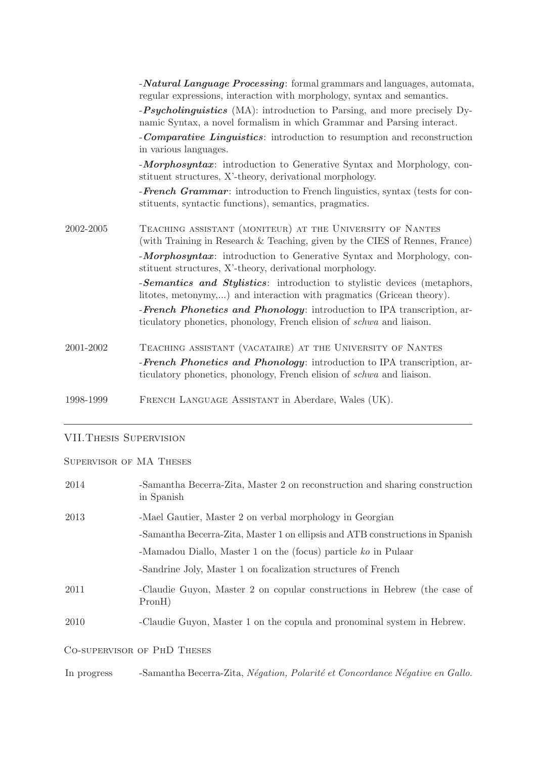|           | - <b>Natural Language Processing</b> : formal grammars and languages, automata,<br>regular expressions, interaction with morphology, syntax and semantics. |
|-----------|------------------------------------------------------------------------------------------------------------------------------------------------------------|
|           | - <i>Psycholinguistics</i> (MA): introduction to Parsing, and more precisely Dy-<br>namic Syntax, a novel formalism in which Grammar and Parsing interact. |
|           | - <b>Comparative Linguistics</b> : introduction to resumption and reconstruction<br>in various languages.                                                  |
|           | -Morphosyntax: introduction to Generative Syntax and Morphology, con-<br>stituent structures, X'-theory, derivational morphology.                          |
|           | - <b>French Grammar</b> : introduction to French linguistics, syntax (tests for con-<br>stituents, syntactic functions), semantics, pragmatics.            |
| 2002-2005 | TEACHING ASSISTANT (MONITEUR) AT THE UNIVERSITY OF NANTES<br>(with Training in Research & Teaching, given by the CIES of Rennes, France)                   |
|           | -Morphosyntax: introduction to Generative Syntax and Morphology, con-<br>stituent structures, X'-theory, derivational morphology.                          |
|           | -Semantics and Stylistics: introduction to stylistic devices (metaphors,<br>litotes, metonymy,) and interaction with pragmatics (Gricean theory).          |
|           | -French Phonetics and Phonology: introduction to IPA transcription, ar-<br>ticulatory phonetics, phonology, French elision of schwa and liaison.           |
| 2001-2002 | TEACHING ASSISTANT (VACATAIRE) AT THE UNIVERSITY OF NANTES                                                                                                 |
|           | - <b>French Phonetics and Phonology</b> : introduction to IPA transcription, ar-<br>ticulatory phonetics, phonology, French elision of schwa and liaison.  |
| 1998-1999 | FRENCH LANGUAGE ASSISTANT in Aberdare, Wales (UK).                                                                                                         |

# VII.Thesis Supervision

# Supervisor of MA Theses

| 2014        | -Samantha Becerra-Zita, Master 2 on reconstruction and sharing construction<br>in Spanish |
|-------------|-------------------------------------------------------------------------------------------|
| 2013        | -Mael Gautier, Master 2 on verbal morphology in Georgian                                  |
|             | -Samantha Becerra-Zita, Master 1 on ellipsis and ATB constructions in Spanish             |
|             | -Mamadou Diallo, Master 1 on the (focus) particle ko in Pulaar                            |
|             | -Sandrine Joly, Master 1 on focalization structures of French                             |
| 2011        | -Claudie Guyon, Master 2 on copular constructions in Hebrew (the case of<br>PronH)        |
| 2010        | -Claudie Guyon, Master 1 on the copula and pronominal system in Hebrew.                   |
|             | CO-SUPERVISOR OF PHD THESES                                                               |
| In progress | -Samantha Becerra-Zita, Négation, Polarité et Concordance Négative en Gallo.              |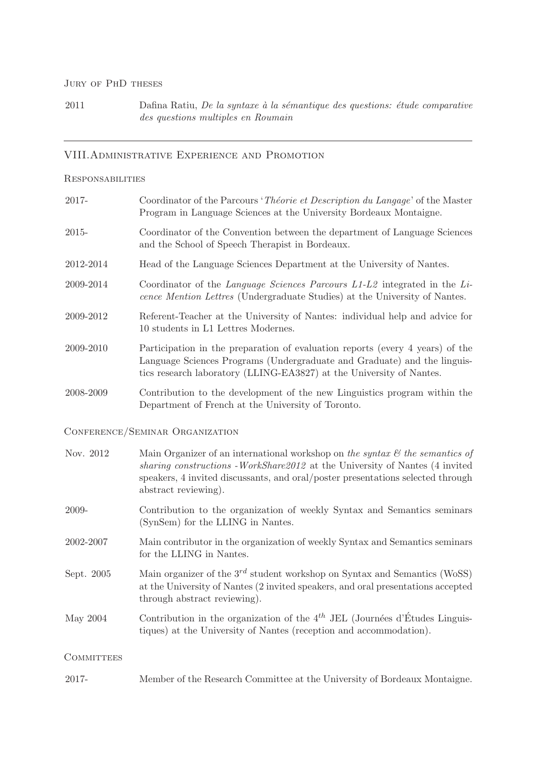### JURY OF PHD THESES

2011 Dafina Ratiu, *De la syntaxe à la sémantique des questions: étude comparative des questions multiples en Roumain*

# VIII.Administrative Experience and Promotion

#### Responsabilities

| 2017-             | Coordinator of the Parcours 'Théorie et Description du Langage' of the Master<br>Program in Language Sciences at the University Bordeaux Montaigne.                                                                                                                                  |
|-------------------|--------------------------------------------------------------------------------------------------------------------------------------------------------------------------------------------------------------------------------------------------------------------------------------|
| 2015-             | Coordinator of the Convention between the department of Language Sciences<br>and the School of Speech Therapist in Bordeaux.                                                                                                                                                         |
| 2012-2014         | Head of the Language Sciences Department at the University of Nantes.                                                                                                                                                                                                                |
| 2009-2014         | Coordinator of the Language Sciences Parcours $L1-L2$ integrated in the Li-<br>cence Mention Lettres (Undergraduate Studies) at the University of Nantes.                                                                                                                            |
| 2009-2012         | Referent-Teacher at the University of Nantes: individual help and advice for<br>10 students in L1 Lettres Modernes.                                                                                                                                                                  |
| 2009-2010         | Participation in the preparation of evaluation reports (every 4 years) of the<br>Language Sciences Programs (Undergraduate and Graduate) and the linguis-<br>tics research laboratory (LLING-EA3827) at the University of Nantes.                                                    |
| 2008-2009         | Contribution to the development of the new Linguistics program within the<br>Department of French at the University of Toronto.                                                                                                                                                      |
|                   | CONFERENCE/SEMINAR ORGANIZATION                                                                                                                                                                                                                                                      |
| Nov. 2012         | Main Organizer of an international workshop on the syntax $\mathcal{C}'$ the semantics of<br>sharing constructions - WorkShare2012 at the University of Nantes (4 invited<br>speakers, 4 invited discussants, and oral/poster presentations selected through<br>abstract reviewing). |
| 2009-             | Contribution to the organization of weekly Syntax and Semantics seminars<br>(SynSem) for the LLING in Nantes.                                                                                                                                                                        |
| 2002-2007         | Main contributor in the organization of weekly Syntax and Semantics seminars<br>for the LLING in Nantes.                                                                                                                                                                             |
| Sept. 2005        | Main organizer of the $3^{rd}$ student workshop on Syntax and Semantics (WoSS)<br>at the University of Nantes (2 invited speakers, and oral presentations accepted<br>through abstract reviewing).                                                                                   |
| May 2004          | Contribution in the organization of the $4^{th}$ JEL (Journées d'Études Linguis-<br>tiques) at the University of Nantes (reception and accommodation).                                                                                                                               |
| <b>COMMITTEES</b> |                                                                                                                                                                                                                                                                                      |
| 2017-             | Member of the Research Committee at the University of Bordeaux Montaigne.                                                                                                                                                                                                            |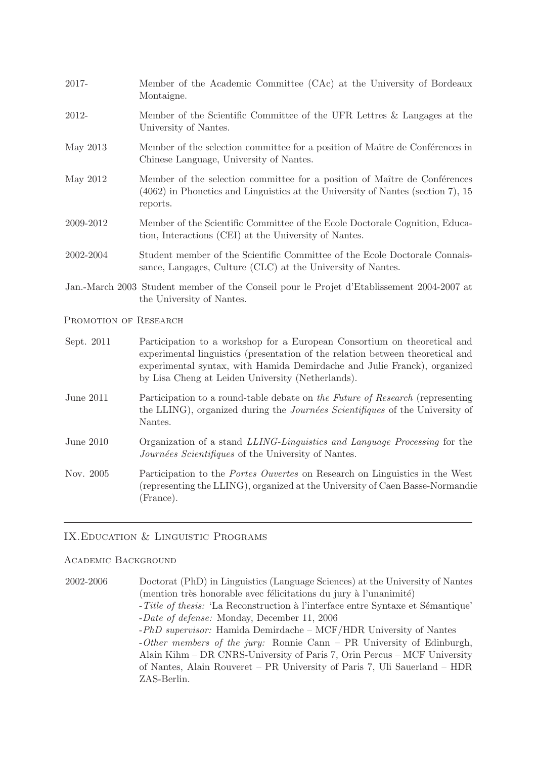- 2017- Member of the Academic Committee (CAc) at the University of Bordeaux Montaigne. 2012- Member of the Scientific Committee of the UFR Lettres & Langages at the University of Nantes. May 2013 Member of the selection committee for a position of Maître de Conférences in Chinese Language, University of Nantes. May 2012 Member of the selection committee for a position of Maître de Conferences (4062) in Phonetics and Linguistics at the University of Nantes (section 7), 15 reports. 2009-2012 Member of the Scientific Committee of the Ecole Doctorale Cognition, Education, Interactions (CEI) at the University of Nantes. 2002-2004 Student member of the Scientific Committee of the Ecole Doctorale Connaissance, Langages, Culture (CLC) at the University of Nantes. Jan.-March 2003 Student member of the Conseil pour le Projet d'Etablissement 2004-2007 at the University of Nantes. PROMOTION OF RESEARCH Sept. 2011 Participation to a workshop for a European Consortium on theoretical and experimental linguistics (presentation of the relation between theoretical and experimental syntax, with Hamida Demirdache and Julie Franck), organized by Lisa Cheng at Leiden University (Netherlands). June 2011 Participation to a round-table debate on *the Future of Research* (representing the LLING), organized during the *Journ´ees Scientifiques* of the University of Nantes.
- June 2010 Organization of a stand *LLING-Linguistics and Language Processing* for the *Journées Scientifiques* of the University of Nantes.
- Nov. 2005 Participation to the *Portes Ouvertes* on Research on Linguistics in the West (representing the LLING), organized at the University of Caen Basse-Normandie (France).

## IX.Education & Linguistic Programs

## Academic Background

2002-2006 Doctorat (PhD) in Linguistics (Language Sciences) at the University of Nantes  $($ mention très honorable avec félicitations du jury à l'unanimité) -*Title of thesis:* 'La Reconstruction à l'interface entre Syntaxe et Sémantique' -*Date of defense:* Monday, December 11, 2006 -*PhD supervisor:* Hamida Demirdache – MCF/HDR University of Nantes -*Other members of the jury:* Ronnie Cann – PR University of Edinburgh, Alain Kihm – DR CNRS-University of Paris 7, Orin Percus – MCF University of Nantes, Alain Rouveret – PR University of Paris 7, Uli Sauerland – HDR ZAS-Berlin.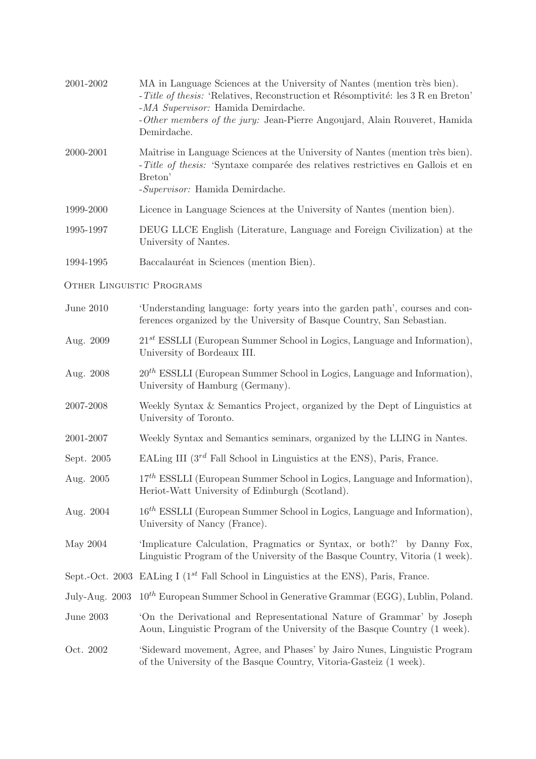| 2001-2002                        | MA in Language Sciences at the University of Nantes (mention très bien).<br>-Title of thesis: 'Relatives, Reconstruction et Résomptivité: les 3 R en Breton'<br>-MA Supervisor: Hamida Demirdache.<br>-Other members of the jury: Jean-Pierre Angoujard, Alain Rouveret, Hamida<br>Demirdache. |
|----------------------------------|------------------------------------------------------------------------------------------------------------------------------------------------------------------------------------------------------------------------------------------------------------------------------------------------|
| 2000-2001                        | Maîtrise in Language Sciences at the University of Nantes (mention très bien).<br>-Title of thesis: 'Syntaxe comparée des relatives restrictives en Gallois et en<br>Breton'<br>-Supervisor: Hamida Demirdache.                                                                                |
| 1999-2000                        | Licence in Language Sciences at the University of Nantes (mention bien).                                                                                                                                                                                                                       |
| 1995-1997                        | DEUG LLCE English (Literature, Language and Foreign Civilization) at the<br>University of Nantes.                                                                                                                                                                                              |
| 1994-1995                        | Baccalauréat in Sciences (mention Bien).                                                                                                                                                                                                                                                       |
| <b>OTHER LINGUISTIC PROGRAMS</b> |                                                                                                                                                                                                                                                                                                |
| June 2010                        | 'Understanding language: forty years into the garden path', courses and con-<br>ferences organized by the University of Basque Country, San Sebastian.                                                                                                                                         |
| Aug. 2009                        | $21^{st}$ ESSLLI (European Summer School in Logics, Language and Information),<br>University of Bordeaux III.                                                                                                                                                                                  |
| Aug. 2008                        | $20^{th}$ ESSLLI (European Summer School in Logics, Language and Information),<br>University of Hamburg (Germany).                                                                                                                                                                             |
| 2007-2008                        | Weekly Syntax & Semantics Project, organized by the Dept of Linguistics at<br>University of Toronto.                                                                                                                                                                                           |
| 2001-2007                        | Weekly Syntax and Semantics seminars, organized by the LLING in Nantes.                                                                                                                                                                                                                        |
| Sept. 2005                       | EALing III $(3^{rd}$ Fall School in Linguistics at the ENS), Paris, France.                                                                                                                                                                                                                    |
| Aug. 2005                        | $17th$ ESSLLI (European Summer School in Logics, Language and Information),<br>Heriot-Watt University of Edinburgh (Scotland).                                                                                                                                                                 |
| Aug. 2004                        | $16th$ ESSLLI (European Summer School in Logics, Language and Information),<br>University of Nancy (France).                                                                                                                                                                                   |
| May 2004                         | 'Implicature Calculation, Pragmatics or Syntax, or both?' by Danny Fox,<br>Linguistic Program of the University of the Basque Country, Vitoria (1 week).                                                                                                                                       |
|                                  | Sept.-Oct. 2003 EALing I ( $1^{st}$ Fall School in Linguistics at the ENS), Paris, France.                                                                                                                                                                                                     |
| July-Aug. 2003                   | $10^{th}$ European Summer School in Generative Grammar (EGG), Lublin, Poland.                                                                                                                                                                                                                  |
| June 2003                        | On the Derivational and Representational Nature of Grammar' by Joseph<br>Aoun, Linguistic Program of the University of the Basque Country (1 week).                                                                                                                                            |
| Oct. 2002                        | 'Sideward movement, Agree, and Phases' by Jairo Nunes, Linguistic Program<br>of the University of the Basque Country, Vitoria-Gasteiz (1 week).                                                                                                                                                |